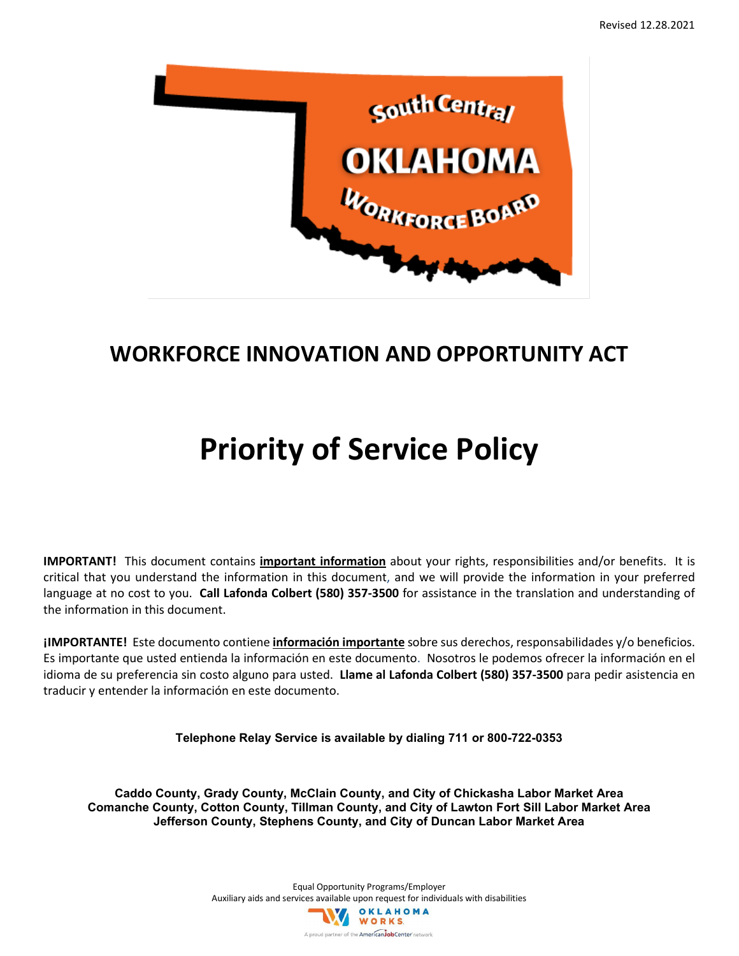

# **WORKFORCE INNOVATION AND OPPORTUNITY ACT**

# **Priority of Service Policy**

**IMPORTANT!** This document contains **important information** about your rights, responsibilities and/or benefits. It is critical that you understand the information in this document, and we will provide the information in your preferred language at no cost to you. **Call Lafonda Colbert (580) 357-3500** for assistance in the translation and understanding of the information in this document.

**¡IMPORTANTE!** Este documento contiene **información importante** sobre sus derechos, responsabilidades y/o beneficios. Es importante que usted entienda la información en este documento. Nosotros le podemos ofrecer la información en el idioma de su preferencia sin costo alguno para usted. **Llame al Lafonda Colbert (580) 357-3500** para pedir asistencia en traducir y entender la información en este documento.

**Telephone Relay Service is available by dialing 711 or 800-722-0353**

**Caddo County, Grady County, McClain County, and City of Chickasha Labor Market Area Comanche County, Cotton County, Tillman County, and City of Lawton Fort Sill Labor Market Area Jefferson County, Stephens County, and City of Duncan Labor Market Area**

> Equal Opportunity Programs/Employer Auxiliary aids and services available upon request for individuals with disabilities OKLAHOMA WORKS A proud partner of the **AmericanJobCenter** network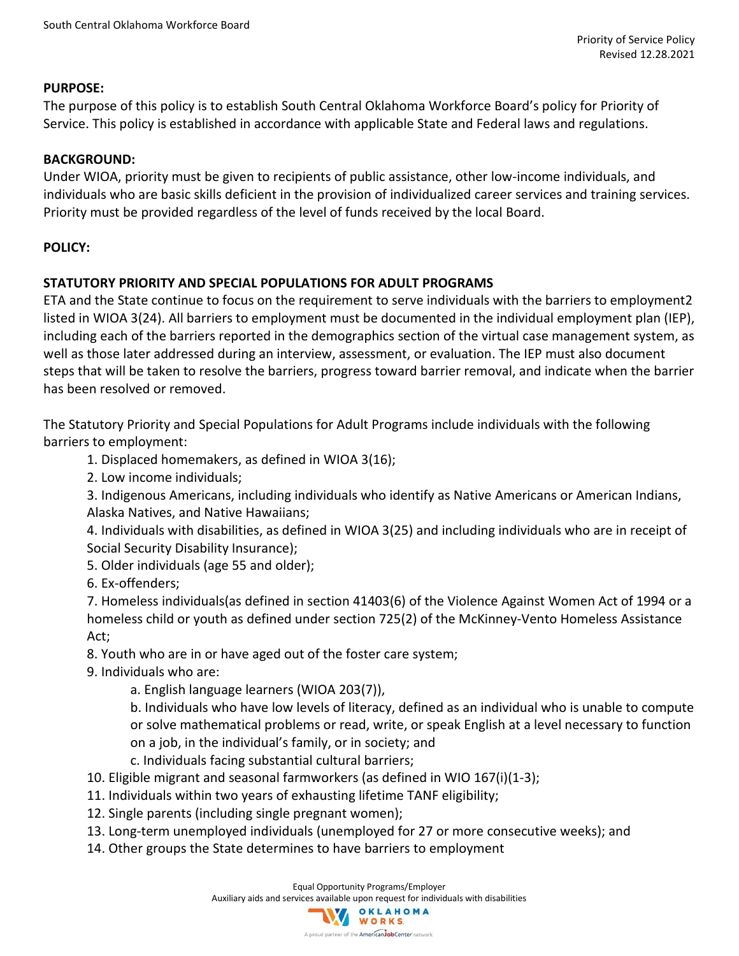#### **PURPOSE:**

The purpose of this policy is to establish South Central Oklahoma Workforce Board's policy for Priority of Service. This policy is established in accordance with applicable State and Federal laws and regulations.

#### **BACKGROUND:**

Under WIOA, priority must be given to recipients of public assistance, other low-income individuals, and individuals who are basic skills deficient in the provision of individualized career services and training services. Priority must be provided regardless of the level of funds received by the local Board.

## **POLICY:**

## **STATUTORY PRIORITY AND SPECIAL POPULATIONS FOR ADULT PROGRAMS**

ETA and the State continue to focus on the requirement to serve individuals with the barriers to employment2 listed in WIOA 3(24). All barriers to employment must be documented in the individual employment plan (IEP), including each of the barriers reported in the demographics section of the virtual case management system, as well as those later addressed during an interview, assessment, or evaluation. The IEP must also document steps that will be taken to resolve the barriers, progress toward barrier removal, and indicate when the barrier has been resolved or removed.

The Statutory Priority and Special Populations for Adult Programs include individuals with the following barriers to employment:

1. Displaced homemakers, as defined in WIOA 3(16);

2. Low income individuals;

3. Indigenous Americans, including individuals who identify as Native Americans or American Indians, Alaska Natives, and Native Hawaiians;

4. Individuals with disabilities, as defined in WIOA 3(25) and including individuals who are in receipt of Social Security Disability Insurance);

5. Older individuals (age 55 and older);

6. Ex-offenders;

7. Homeless individuals(as defined in section 41403(6) of the Violence Against Women Act of 1994 or a homeless child or youth as defined under section 725(2) of the McKinney-Vento Homeless Assistance Act;

8. Youth who are in or have aged out of the foster care system;

9. Individuals who are:

a. English language learners (WIOA 203(7)),

b. Individuals who have low levels of literacy, defined as an individual who is unable to compute or solve mathematical problems or read, write, or speak English at a level necessary to function on a job, in the individual's family, or in society; and

c. Individuals facing substantial cultural barriers;

10. Eligible migrant and seasonal farmworkers (as defined in WIO 167(i)(1-3);

- 11. Individuals within two years of exhausting lifetime TANF eligibility;
- 12. Single parents (including single pregnant women);
- 13. Long-term unemployed individuals (unemployed for 27 or more consecutive weeks); and
- 14. Other groups the State determines to have barriers to employment

Equal Opportunity Programs/Employer Auxiliary aids and services available upon request for individuals with disabilities